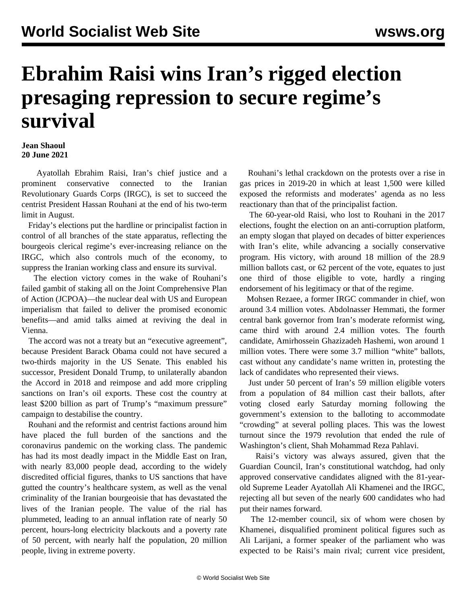## **Ebrahim Raisi wins Iran's rigged election presaging repression to secure regime's survival**

## **Jean Shaoul 20 June 2021**

 Ayatollah Ebrahim Raisi, Iran's chief justice and a prominent conservative connected to the Iranian Revolutionary Guards Corps (IRGC), is set to succeed the centrist President Hassan Rouhani at the end of his two-term limit in August.

 Friday's elections put the hardline or principalist faction in control of all branches of the state apparatus, reflecting the bourgeois clerical regime's ever-increasing reliance on the IRGC, which also controls much of the economy, to suppress the Iranian working class and ensure its survival.

 The election victory comes in the wake of Rouhani's failed gambit of staking all on the Joint Comprehensive Plan of Action (JCPOA)—the nuclear deal with US and European imperialism that failed to deliver the promised economic benefits—and amid talks aimed at reviving the deal in Vienna.

 The accord was not a treaty but an "executive agreement", because President Barack Obama could not have secured a two-thirds majority in the US Senate. This enabled his successor, President Donald Trump, to unilaterally abandon the Accord in 2018 and reimpose and add more crippling sanctions on Iran's oil exports. These cost the country at least \$200 billion as part of Trump's "maximum pressure" campaign to destabilise the country.

 Rouhani and the reformist and centrist factions around him have placed the full burden of the sanctions and the coronavirus pandemic on the working class. The pandemic has had its most deadly impact in the Middle East on Iran, with nearly 83,000 people dead, according to the widely discredited official figures, thanks to US sanctions that have gutted the country's healthcare system, as well as the venal criminality of the Iranian bourgeoisie that has devastated the lives of the Iranian people. The value of the rial has plummeted, leading to an annual inflation rate of nearly 50 percent, hours-long electricity blackouts and a poverty rate of 50 percent, with nearly half the population, 20 million people, living in extreme poverty.

 Rouhani's lethal crackdown on the protests over a rise in gas prices in 2019-20 in which at least 1,500 were killed exposed the reformists and moderates' agenda as no less reactionary than that of the principalist faction.

 The 60-year-old Raisi, who lost to Rouhani in the 2017 elections, fought the election on an anti-corruption platform, an empty slogan that played on decades of bitter experiences with Iran's elite, while advancing a socially conservative program. His victory, with around 18 million of the 28.9 million ballots cast, or 62 percent of the vote, equates to just one third of those eligible to vote, hardly a ringing endorsement of his legitimacy or that of the regime.

 Mohsen Rezaee, a former IRGC commander in chief, won around 3.4 million votes. Abdolnasser Hemmati, the former central bank governor from Iran's moderate reformist wing, came third with around 2.4 million votes. The fourth candidate, Amirhossein Ghazizadeh Hashemi, won around 1 million votes. There were some 3.7 million "white" ballots, cast without any candidate's name written in, protesting the lack of candidates who represented their views.

 Just under 50 percent of Iran's 59 million eligible voters from a population of 84 million cast their ballots, after voting closed early Saturday morning following the government's extension to the balloting to accommodate "crowding" at several polling places. This was the lowest turnout since the 1979 revolution that ended the rule of Washington's client, Shah Mohammad Reza Pahlavi.

 Raisi's victory was always assured, given that the Guardian Council, Iran's constitutional watchdog, had only approved conservative candidates aligned with the 81-yearold Supreme Leader Ayatollah Ali Khamenei and the IRGC, rejecting all but seven of the nearly 600 candidates who had put their names forward.

 The 12-member council, six of whom were chosen by Khamenei, disqualified prominent political figures such as Ali Larijani, a former speaker of the parliament who was expected to be Raisi's main rival; current vice president,